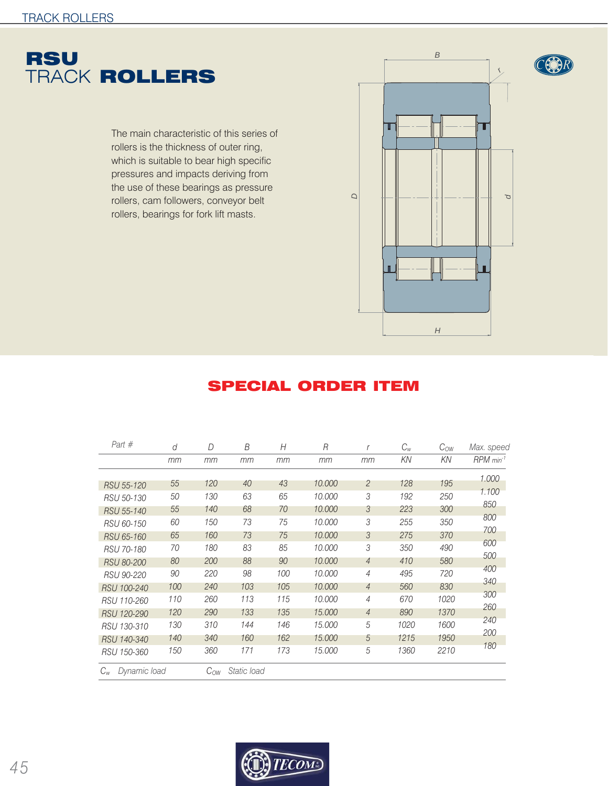

The main characteristic of this series of rollers is the thickness of outer ring, which is suitable to bear high specific pressures and impacts deriving from the use of these bearings as pressure rollers, cam followers, conveyor belt rollers, bearings for fork lift masts.



## SPECIAL ORDER ITEM

| Part #                  | d   | D        | B           | Н   | R      | r              | $C_w$ | $C_{OW}$ | Max. speed              |
|-------------------------|-----|----------|-------------|-----|--------|----------------|-------|----------|-------------------------|
|                         | mm  | mm       | mm          | mm  | mm     | mm             | KN    | KN       | $RPM$ min <sup>-1</sup> |
|                         |     |          |             |     |        |                |       |          | 1.000                   |
| RSU 55-120              | 55  | 120      | 40          | 43  | 10,000 | 2              | 128   | 195      | 1.100                   |
| RSU 50-130              | 50  | 130      | 63          | 65  | 10,000 | 3              | 192   | 250      | 850                     |
| RSU 55-140              | 55  | 140      | 68          | 70  | 10,000 | 3              | 223   | 300      |                         |
| RSU 60-150              | 60  | 150      | 73          | 75  | 10,000 | 3              | 255   | 350      | 800                     |
| RSU 65-160              | 65  | 160      | 73          | 75  | 10,000 | 3              | 275   | 370      | 700                     |
| RSU 70-180              | 70  | 180      | 83          | 85  | 10,000 | 3              | 350   | 490      | 600                     |
| <b>RSU 80-200</b>       | 80  | 200      | 88          | 90  | 10,000 | $\overline{4}$ | 410   | 580      | 500                     |
| RSU 90-220              | 90  | 220      | 98          | 100 | 10,000 | $\overline{4}$ | 495   | 720      | 400                     |
| RSU 100-240             | 100 | 240      | 103         | 105 | 10,000 | $\overline{4}$ | 560   | 830      | 340                     |
| RSU 110-260             | 110 | 260      | 113         | 115 | 10,000 | $\overline{4}$ | 670   | 1020     | 300                     |
| RSU 120-290             | 120 | 290      | 133         | 135 | 15,000 | $\overline{4}$ | 890   | 1370     | 260                     |
| RSU 130-310             | 130 | 310      | 144         | 146 | 15,000 | 5              | 1020  | 1600     | 240                     |
| RSU 140-340             | 140 | 340      | 160         | 162 | 15,000 | 5              | 1215  | 1950     | 200                     |
| RSU 150-360             | 150 | 360      | 171         | 173 | 15,000 | 5              | 1360  | 2210     | 180                     |
| Dynamic load<br>$C_{w}$ |     | $C_{OW}$ | Static load |     |        |                |       |          |                         |